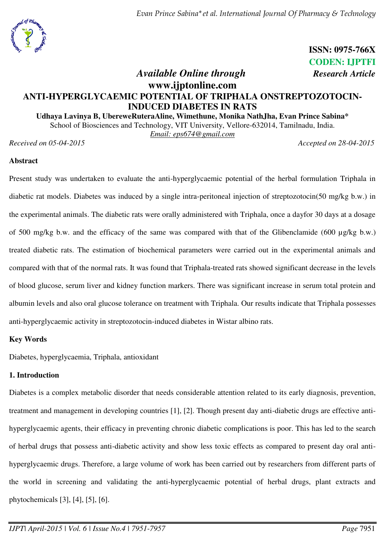

 **ISSN: 0975-766X** **CODEN: IJPTFI**   *Available Online through Research Article*

# **www.ijptonline.com ANTI-HYPERGLYCAEMIC POTENTIAL OF TRIPHALA ONSTREPTOZOTOCIN-INDUCED DIABETES IN RATS**

**Udhaya Lavinya B, UbereweRuteraAline, Wimethune, Monika NathJha, Evan Prince Sabina\*** 

School of Biosciences and Technology, VIT University, Vellore-632014, Tamilnadu, India.

*Email: [eps674@gmail.com](mailto:eps674@gmail.com)* 

*Received on 05-04-2015 Accepted on 28-04-2015*

#### **Abstract**

Present study was undertaken to evaluate the anti-hyperglycaemic potential of the herbal formulation Triphala in diabetic rat models. Diabetes was induced by a single intra-peritoneal injection of streptozotocin(50 mg/kg b.w.) in the experimental animals. The diabetic rats were orally administered with Triphala, once a dayfor 30 days at a dosage of 500 mg/kg b.w. and the efficacy of the same was compared with that of the Glibenclamide (600 µg/kg b.w.) treated diabetic rats. The estimation of biochemical parameters were carried out in the experimental animals and compared with that of the normal rats. It was found that Triphala-treated rats showed significant decrease in the levels of blood glucose, serum liver and kidney function markers. There was significant increase in serum total protein and albumin levels and also oral glucose tolerance on treatment with Triphala. Our results indicate that Triphala possesses anti-hyperglycaemic activity in streptozotocin-induced diabetes in Wistar albino rats.

# **Key Words**

Diabetes, hyperglycaemia, Triphala, antioxidant

# **1. Introduction**

Diabetes is a complex metabolic disorder that needs considerable attention related to its early diagnosis, prevention, treatment and management in developing countries [1], [2]. Though present day anti-diabetic drugs are effective antihyperglycaemic agents, their efficacy in preventing chronic diabetic complications is poor. This has led to the search of herbal drugs that possess anti-diabetic activity and show less toxic effects as compared to present day oral antihyperglycaemic drugs. Therefore, a large volume of work has been carried out by researchers from different parts of the world in screening and validating the anti-hyperglycaemic potential of herbal drugs, plant extracts and phytochemicals [3], [4], [5], [6].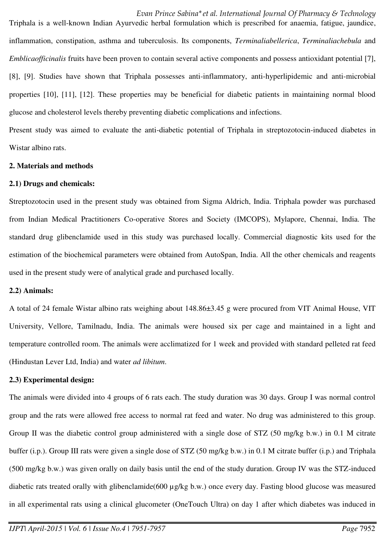*Evan Prince Sabina\*et al. International Journal Of Pharmacy & Technology*  Triphala is a well-known Indian Ayurvedic herbal formulation which is prescribed for anaemia, fatigue, jaundice, inflammation, constipation, asthma and tuberculosis. Its components, *Terminaliabellerica*, *Terminaliachebula* and *Emblicaofficinalis* fruits have been proven to contain several active components and possess antioxidant potential [7], [8], [9]. Studies have shown that Triphala possesses anti-inflammatory, anti-hyperlipidemic and anti-microbial properties [10], [11], [12]. These properties may be beneficial for diabetic patients in maintaining normal blood glucose and cholesterol levels thereby preventing diabetic complications and infections.

Present study was aimed to evaluate the anti-diabetic potential of Triphala in streptozotocin-induced diabetes in Wistar albino rats.

#### **2. Materials and methods**

#### **2.1) Drugs and chemicals:**

Streptozotocin used in the present study was obtained from Sigma Aldrich, India. Triphala powder was purchased from Indian Medical Practitioners Co-operative Stores and Society (IMCOPS), Mylapore, Chennai, India. The standard drug glibenclamide used in this study was purchased locally. Commercial diagnostic kits used for the estimation of the biochemical parameters were obtained from AutoSpan, India. All the other chemicals and reagents used in the present study were of analytical grade and purchased locally.

# **2.2) Animals:**

A total of 24 female Wistar albino rats weighing about 148.86±3.45 g were procured from VIT Animal House, VIT University, Vellore, Tamilnadu, India. The animals were housed six per cage and maintained in a light and temperature controlled room. The animals were acclimatized for 1 week and provided with standard pelleted rat feed (Hindustan Lever Ltd, India) and water *ad libitum*.

# **2.3) Experimental design:**

The animals were divided into 4 groups of 6 rats each. The study duration was 30 days. Group I was normal control group and the rats were allowed free access to normal rat feed and water. No drug was administered to this group. Group II was the diabetic control group administered with a single dose of STZ (50 mg/kg b.w.) in 0.1 M citrate buffer (i.p.). Group III rats were given a single dose of STZ (50 mg/kg b.w.) in 0.1 M citrate buffer (i.p.) and Triphala (500 mg/kg b.w.) was given orally on daily basis until the end of the study duration. Group IV was the STZ-induced diabetic rats treated orally with glibenclamide(600 µg/kg b.w.) once every day. Fasting blood glucose was measured in all experimental rats using a clinical glucometer (OneTouch Ultra) on day 1 after which diabetes was induced in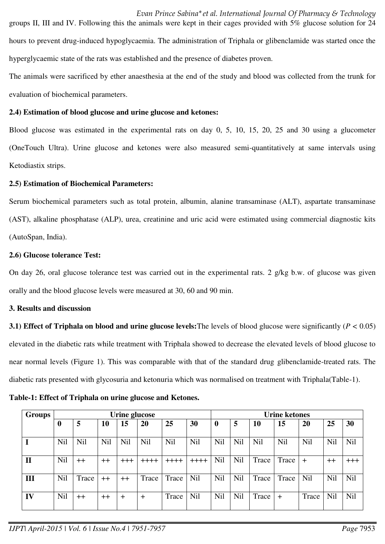*Evan Prince Sabina\*et al. International Journal Of Pharmacy & Technology*  groups II, III and IV. Following this the animals were kept in their cages provided with 5% glucose solution for 24 hours to prevent drug-induced hypoglycaemia. The administration of Triphala or glibenclamide was started once the hyperglycaemic state of the rats was established and the presence of diabetes proven.

The animals were sacrificed by ether anaesthesia at the end of the study and blood was collected from the trunk for evaluation of biochemical parameters.

#### **2.4) Estimation of blood glucose and urine glucose and ketones:**

Blood glucose was estimated in the experimental rats on day 0, 5, 10, 15, 20, 25 and 30 using a glucometer (OneTouch Ultra). Urine glucose and ketones were also measured semi-quantitatively at same intervals using Ketodiastix strips.

#### **2.5) Estimation of Biochemical Parameters:**

Serum biochemical parameters such as total protein, albumin, alanine transaminase (ALT), aspartate transaminase (AST), alkaline phosphatase (ALP), urea, creatinine and uric acid were estimated using commercial diagnostic kits (AutoSpan, India).

#### **2.6) Glucose tolerance Test:**

On day 26, oral glucose tolerance test was carried out in the experimental rats. 2 g/kg b.w. of glucose was given orally and the blood glucose levels were measured at 30, 60 and 90 min.

# **3. Results and discussion**

**3.1) Effect of Triphala on blood and urine glucose levels:**The levels of blood glucose were significantly (*P <* 0.05) elevated in the diabetic rats while treatment with Triphala showed to decrease the elevated levels of blood glucose to near normal levels (Figure 1). This was comparable with that of the standard drug glibenclamide-treated rats. The diabetic rats presented with glycosuria and ketonuria which was normalised on treatment with Triphala(Table-1).

| Groups       | Urine glucose |       |                  |       |            |            |         | <b>Urine ketones</b> |     |            |       |            |      |       |
|--------------|---------------|-------|------------------|-------|------------|------------|---------|----------------------|-----|------------|-------|------------|------|-------|
|              | 0             | 5     | 10               | 15    | 20         | 25         | 30      | $\boldsymbol{0}$     | 5   | 10         | 15    | 20         | 25   | 30    |
|              | Nil           | Nil   | Nil              | Nil   | <b>Nil</b> | <b>Nil</b> | Nil     | Nil                  | Nil | <b>Nil</b> | Nil   | <b>Nil</b> | Nil  | Nil   |
| $\mathbf{I}$ | <b>Nil</b>    | $++$  | $++$             | $+++$ | ++++       | $++++$     | $+++++$ | Nil                  | Nil | Trace      | Trace | $+$        | $++$ | $+++$ |
| Ш            | Nil           | Trace | $^{\mathrm{++}}$ | $++$  | Trace      | Trace      | Nil     | Nil                  | Nil | Trace      | Trace | Nil        | Nil  | Nil   |
| IV           | Nil           | $++$  | $++$             | $\pm$ | $\pm$      | Trace      | Nil     | Nil                  | Nil | Trace      | $\pm$ | Trace      | Nil  | Nil   |

**Table-1: Effect of Triphala on urine glucose and Ketones.**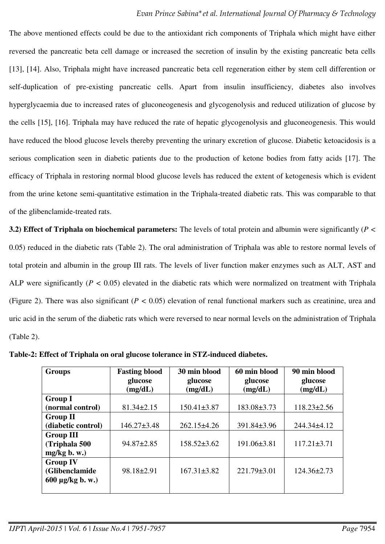The above mentioned effects could be due to the antioxidant rich components of Triphala which might have either reversed the pancreatic beta cell damage or increased the secretion of insulin by the existing pancreatic beta cells [13], [14]. Also, Triphala might have increased pancreatic beta cell regeneration either by stem cell differention or self-duplication of pre-existing pancreatic cells. Apart from insulin insufficiency, diabetes also involves hyperglycaemia due to increased rates of gluconeogenesis and glycogenolysis and reduced utilization of glucose by the cells [15], [16]. Triphala may have reduced the rate of hepatic glycogenolysis and gluconeogenesis. This would have reduced the blood glucose levels thereby preventing the urinary excretion of glucose. Diabetic ketoacidosis is a serious complication seen in diabetic patients due to the production of ketone bodies from fatty acids [17]. The efficacy of Triphala in restoring normal blood glucose levels has reduced the extent of ketogenesis which is evident from the urine ketone semi-quantitative estimation in the Triphala-treated diabetic rats. This was comparable to that of the glibenclamide-treated rats.

**3.2) Effect of Triphala on biochemical parameters:** The levels of total protein and albumin were significantly (*P <* 0.05) reduced in the diabetic rats (Table 2). The oral administration of Triphala was able to restore normal levels of total protein and albumin in the group III rats. The levels of liver function maker enzymes such as ALT, AST and ALP were significantly (*P <* 0.05) elevated in the diabetic rats which were normalized on treatment with Triphala (Figure 2). There was also significant (*P <* 0.05) elevation of renal functional markers such as creatinine, urea and uric acid in the serum of the diabetic rats which were reversed to near normal levels on the administration of Triphala (Table 2).

**Groups Fasting blood glucose (mg/dL) 30 min blood glucose (mg/dL) 60 min blood glucose (mg/dL) 90 min blood glucose (mg/dL) Group I (normal control) 81.34±2.15 150.41±3.87** 183.08±3.73 118.23±2.56 **Group II (diabetic control)**  $\vert$  146.27±3.48  $\vert$  262.15±4.26  $\vert$  391.84±3.96  $\vert$  244.34±4.12 **Group III (Triphala 500 mg/kg b. w.)**  94.87±2.85 158.52±3.62 191.06±3.81 117.21±3.71 **Group IV (Glibenclamide 600 µg/kg b. w.)**  98.18±2.91 | 167.31±3.82 | 221.79±3.01 | 124.36±2.73

**Table-2: Effect of Triphala on oral glucose tolerance in STZ-induced diabetes.**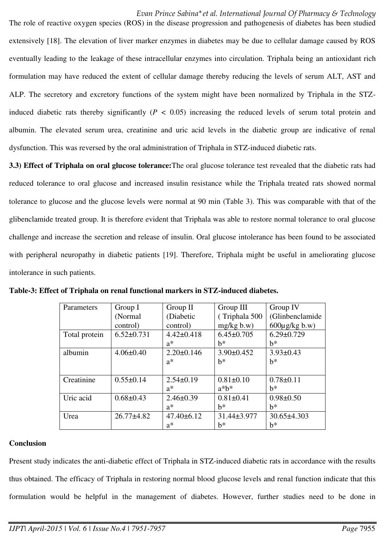The role of reactive oxygen species (ROS) in the disease progression and pathogenesis of diabetes has been studied extensively [18]. The elevation of liver marker enzymes in diabetes may be due to cellular damage caused by ROS eventually leading to the leakage of these intracellular enzymes into circulation. Triphala being an antioxidant rich formulation may have reduced the extent of cellular damage thereby reducing the levels of serum ALT, AST and ALP. The secretory and excretory functions of the system might have been normalized by Triphala in the STZinduced diabetic rats thereby significantly (*P <* 0.05) increasing the reduced levels of serum total protein and albumin. The elevated serum urea, creatinine and uric acid levels in the diabetic group are indicative of renal dysfunction. This was reversed by the oral administration of Triphala in STZ-induced diabetic rats.

**3.3) Effect of Triphala on oral glucose tolerance:**The oral glucose tolerance test revealed that the diabetic rats had reduced tolerance to oral glucose and increased insulin resistance while the Triphala treated rats showed normal tolerance to glucose and the glucose levels were normal at 90 min (Table 3). This was comparable with that of the glibenclamide treated group. It is therefore evident that Triphala was able to restore normal tolerance to oral glucose challenge and increase the secretion and release of insulin. Oral glucose intolerance has been found to be associated with peripheral neuropathy in diabetic patients [19]. Therefore, Triphala might be useful in ameliorating glucose intolerance in such patients.

| Parameters    | Group I          | Group II         | Group III        | Group IV                 |
|---------------|------------------|------------------|------------------|--------------------------|
|               | (Normal          | (Diabetic        | (Triphala 500    | (Glinbenclamide          |
|               | control)         | control)         | mg/kg b.w)       | $600\mu\text{g/kg}$ b.w) |
| Total protein | $6.52 \pm 0.731$ | $4.42 \pm 0.418$ | $6.45 \pm 0.705$ | $6.29 \pm 0.729$         |
|               |                  | $a^*$            | b*               | $h^*$                    |
| albumin       | $4.06 \pm 0.40$  | $2.20 \pm 0.146$ | $3.90 \pm 0.452$ | $3.93 \pm 0.43$          |
|               |                  | $a^*$            | $h^*$            | $h^*$                    |
|               |                  |                  |                  |                          |
| Creatinine    | $0.55 \pm 0.14$  | $2.54\pm0.19$    | $0.81 \pm 0.10$  | $0.78 \pm 0.11$          |
|               |                  | $a^*$            | $a^*b^*$         | $h^*$                    |
| Uric acid     | $0.68 \pm 0.43$  | $2.46 \pm 0.39$  | $0.81 \pm 0.41$  | $0.98 \pm 0.50$          |
|               |                  | $a^*$            | h*               | $h^*$                    |
| Urea          | $26.77 \pm 4.82$ | $47.40 \pm 6.12$ | 31.44±3.977      | $30.65 \pm 4.303$        |
|               |                  | $a^*$            | b*               | $h^*$                    |

**Table-3: Effect of Triphala on renal functional markers in STZ-induced diabetes.** 

# **Conclusion**

Present study indicates the anti-diabetic effect of Triphala in STZ-induced diabetic rats in accordance with the results thus obtained. The efficacy of Triphala in restoring normal blood glucose levels and renal function indicate that this formulation would be helpful in the management of diabetes. However, further studies need to be done in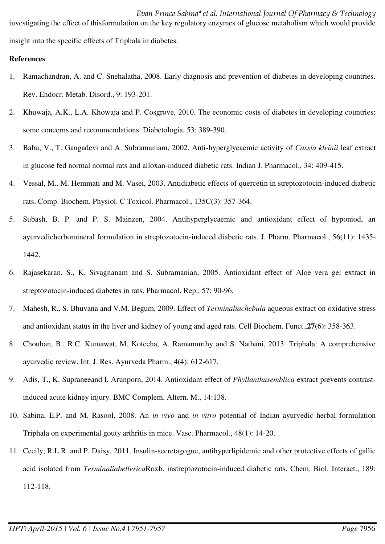*Evan Prince Sabina\*et al. International Journal Of Pharmacy & Technology*  investigating the effect of thisformulation on the key regulatory enzymes of glucose metabolism which would provide insight into the specific effects of Triphala in diabetes.

## **References**

- 1. Ramachandran, A. and C. Snehalatha, 2008. Early diagnosis and prevention of diabetes in developing countries. Rev. Endocr. Metab. Disord., 9: 193-201.
- 2. Khuwaja, A.K., L.A. Khowaja and P. Cosgrove, 2010. The economic costs of diabetes in developing countries: some concerns and recommendations. Diabetologia, 53: 389-390.
- 3. Babu, V., T. Gangadevi and A. Subramaniam, 2002. Anti-hyperglycaemic activity of *Cassia kleinii* leaf extract in glucose fed normal normal rats and alloxan-induced diabetic rats. Indian J. Pharmacol., 34: 409-415.
- 4. Vessal, M., M. Hemmati and M. Vasei, 2003. Antidiabetic effects of quercetin in streptozotocin-induced diabetic rats. Comp. Biochem. Physiol. C Toxicol. Pharmacol., 135C(3): 357-364.
- 5. Subash, B. P. and P. S. Mainzen, 2004. Antihyperglycaemic and antioxidant effect of hyponiod, an ayurvedicherbomineral formulation in streptozotocin-induced diabetic rats. J. Pharm. Pharmacol., 56(11): 1435- 1442.
- 6. Rajasekaran, S., K. Sivagnanam and S. Subramanian, 2005. Antioxidant effect of Aloe vera gel extract in streptozotocin-induced diabetes in rats. Pharmacol. Rep., 57: 90-96.
- 7. Mahesh, R., S. Bhuvana and V.M. Begum, 2009. Effect of *Terminaliachebula* aqueous extract on oxidative stress and antioxidant status in the liver and kidney of young and aged rats. Cell Biochem. Funct.,**27**(6): 358-363.
- 8. Chouhan, B., R.C. Kumawat, M. Kotecha, A. Ramamurthy and S. Nathani, 2013. Triphala: A comprehensive ayurvedic review. Int. J. Res. Ayurveda Pharm., 4(4): 612-617.
- 9. Adis, T., K. Supraneeand I. Arunporn, 2014. Antioxidant effect of *Phyllanthusemblica* extract prevents contrastinduced acute kidney injury. BMC Complem. Altern. M., 14:138.
- 10. Sabina, E.P. and M. Rasool, 2008. An *in vivo* and *in vitro* potential of Indian ayurvedic herbal formulation Triphala on experimental gouty arthritis in mice. Vasc. Pharmacol., 48(1): 14-20.
- 11. Cecily, R.L.R. and P. Daisy, 2011. Insulin-secretagogue, antihyperlipidemic and other protective effects of gallic acid isolated from *Terminaliabellerica*Roxb. instreptozotocin-induced diabetic rats. Chem. Biol. Interact., 189: 112-118.